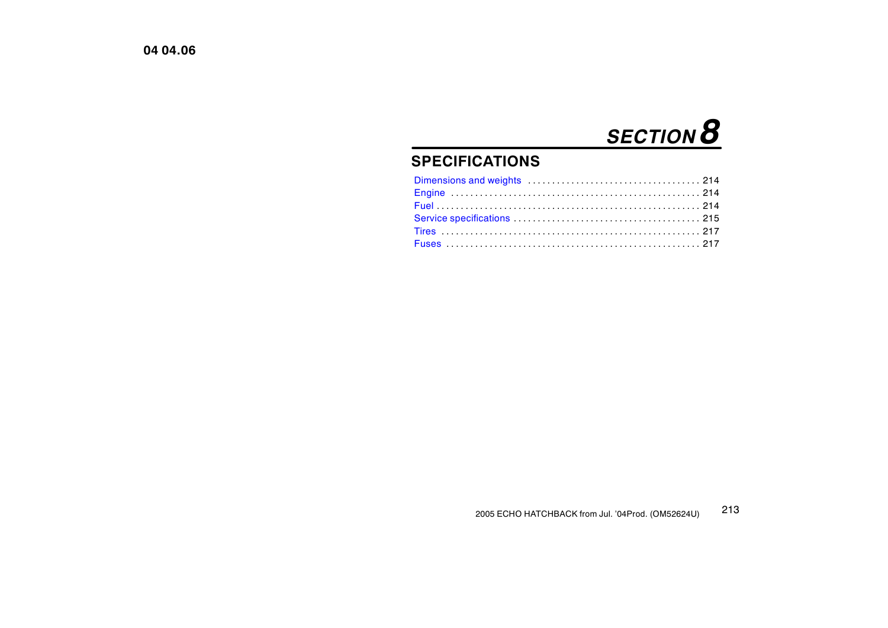# *SECTION 8*

## **SPECIFICATIONS**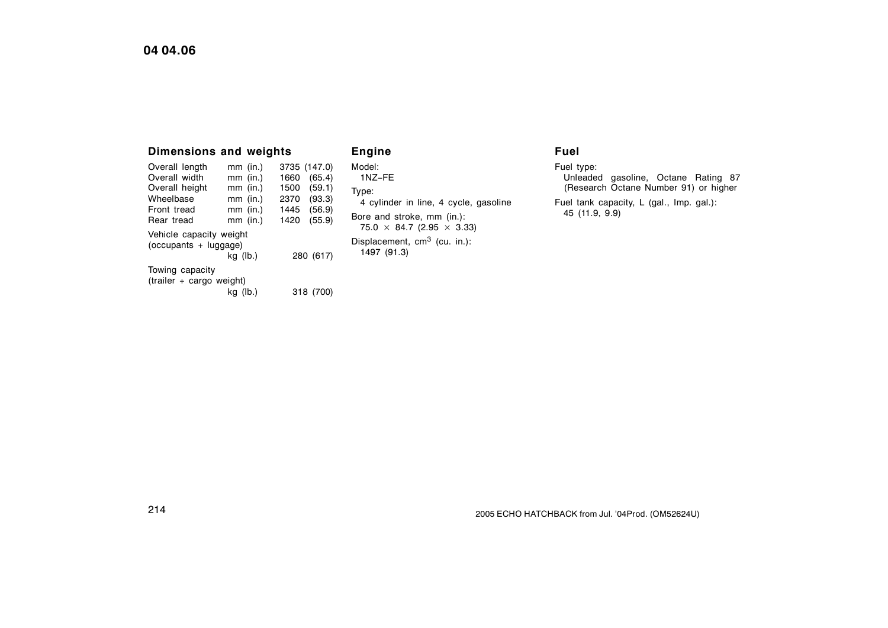## <span id="page-1-0"></span>**04 04.06**

| <b>Dimensions and weights</b>                                             |  |            |      |              |
|---------------------------------------------------------------------------|--|------------|------|--------------|
| Overall length                                                            |  | $mm$ (in.) |      | 3735 (147.0) |
| Overall width                                                             |  | $mm$ (in.) | 1660 | (65.4)       |
| Overall height                                                            |  | $mm$ (in.) | 1500 | (59.1)       |
| Wheelbase                                                                 |  | $mm$ (in.) | 2370 | (93.3)       |
| Front tread                                                               |  | $mm$ (in.) | 1445 | (56.9)       |
| Rear tread                                                                |  | $mm$ (in.) | 1420 | (55.9)       |
| Vehicle capacity weight<br>$(occupants + luqaa)$<br>280 (617)<br>kg (lb.) |  |            |      |              |
| Towing capacity<br>(trailer + cargo weight)                               |  |            |      |              |

kg (lb.) 318 (700)

**Engine** Model: 1NZ−FE Type: 4 cylinder in line, 4 cycle, gasoline Bore and stroke, mm (in.):  $75.0 \times 84.7$  (2.95  $\times$  3.33) Displacement, cm<sup>3</sup> (cu. in.): 1497 (91.3)

## **Fuel**

Fuel type: Unleaded gasoline, Octane Rating 87 (Research Octane Number 91) or higher Fuel tank capacity, L (gal., Imp. gal.): 45 (11.9, 9.9)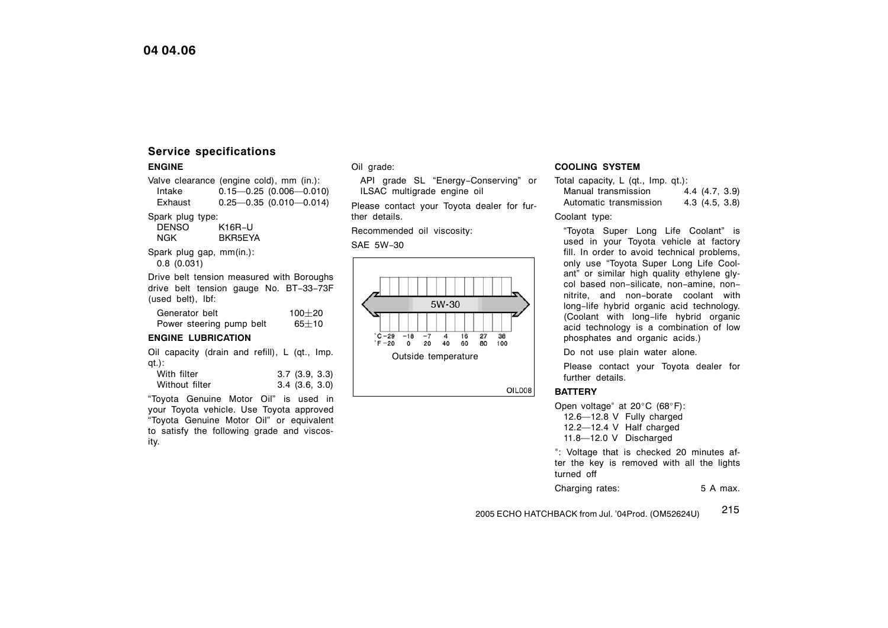## <span id="page-2-0"></span>**Service specifications**

#### **ENGINE**

Valve clearance (engine cold), mm (in.):<br>Intake  $0.15 - 0.25$  (0.006 - 0.016  $0.15 - 0.25$  (0.006  $-0.010$ ) Exhaust 0.25—0.35 (0.010—0.014)

Spark plug type:

```
DENSO K16R−U<br>NGK BKR5EY
   BKR5EYA
```
Spark plug gap, mm(in.): 0.8 (0.031)

Drive belt tension measured with Boroughs drive belt tension gauge No. BT−33−73F (used belt), lbf:

Generator belt  $100+20$ Power steering pump belt  $65\pm10$ 

#### **ENGINE LUBRICATION**

Oil capacity (drain and refill), L (qt., Imp. qt.):

| With filter    | $3.7$ $(3.9, 3.3)$ |
|----------------|--------------------|
| Without filter | $3.4$ $(3.6, 3.0)$ |

"Toyota Genuine Motor Oil" is used in your Toyota vehicle. Use Toyota approved "Toyota Genuine Motor Oil" or equivalent to satisfy the following grade and viscosity.

#### Oil grade:

API grade SL "Energy−Conserving" or ILSAC multigrade engine oil

Please contact your Toyota dealer for further details.

Recommended oil viscosity:

SAE 5W−30



#### **COOLING SYSTEM**

Total capacity, L (qt., Imp. qt.): Manual transmission 4.4 (4.7, 3.9) Automatic transmission 4.3 (4.5, 3.8)

#### Coolant type:

"Toyota Super Long Life Coolant" is used in your Toyota vehicle at factory fill. In order to avoid technical problems, only use "Toyota Super Long Life Coolant" or similar high quality ethylene glycol based non−silicate, non−amine, non− nitrite, and non−borate coolant with long−life hybrid organic acid technology. (Coolant with long−life hybrid organic acid technology is a combination of low phosphates and organic acids.)

Do not use plain water alone.

Please contact your Toyota dealer for further details.

#### **BATTERY**

**OIL008** 

Open voltage<sup>\*</sup> at 20°C (68°F): 12.6—12.8 V Fully charged

12.2—12.4 V Half charged 11.8—12.0 V Discharged

<sup>∗</sup>: Voltage that is checked 20 minutes after the key is removed with all the lights turned off

Charging rates: 5 A max.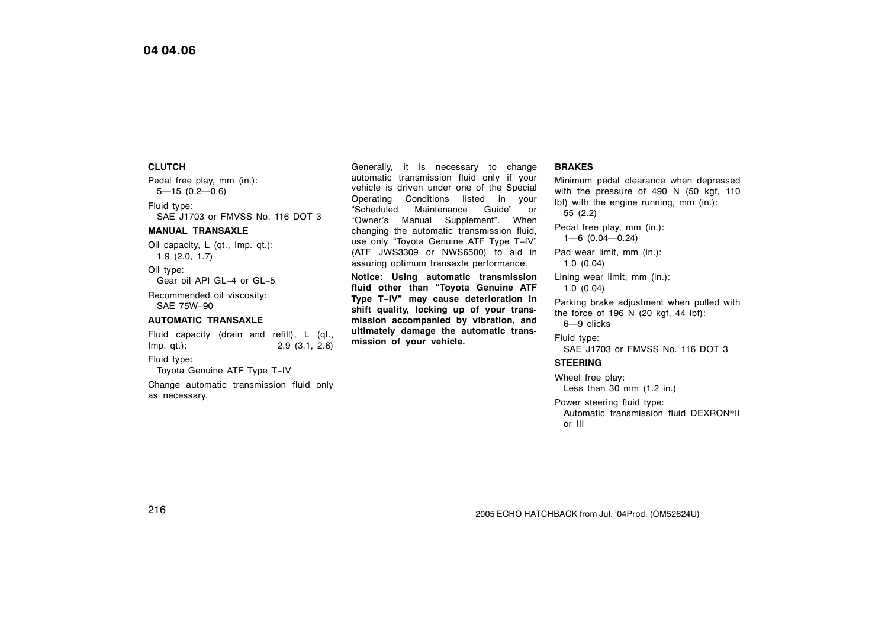#### **CLUTCH**

Pedal free play, mm (in.): 5—15 (0.2—0.6) Fluid type: SAE J1703 or FMVSS No. 116 DOT 3

#### **MANUAL TRANSAXLE**

Oil capacity, L (qt., Imp. qt.): 1.9 (2.0, 1.7)

Oil type: Gear oil API GL−4 or GL−5

Recommended oil viscosity: SAE 75W−90

#### **AUTOMATIC TRANSAXLE**

Fluid capacity (drain and refill), L (qt., Imp. qt.): 2.9 (3.1, 2.6)

Fluid type:

Toyota Genuine ATF Type T−IV

Change automatic transmission fluid only as necessary.

Generally, it is necessary to change automatic transmission fluid only if your vehicle is driven under one of the Special Operating Conditions listed in your "Scheduled Maintenance Guide" or "Owner's Manual Supplement". When changing the automatic transmission fluid, use only "Toyota Genuine ATF Type T−IV" (ATF JWS3309 or NWS6500) to aid in assuring optimum transaxle performance.

**Notice: Using automatic transmission fluid other than "Toyota Genuine ATF Type T−IV" may cause deterioration in shift quality, locking up of your transmission accompanied by vibration, and ultimately damage the automatic transmission of your vehicle.**

#### **BRAKES**

Minimum pedal clearance when depressed with the pressure of 490 N (50 kgf, 110 lbf) with the engine running, mm (in.): 55 (2.2)

Pedal free play, mm (in.): 1—6 (0.04—0.24)

Pad wear limit, mm (in.): 1.0 (0.04)

Lining wear limit, mm (in.): 1.0 (0.04)

Parking brake adjustment when pulled with the force of 196 N (20 kgf, 44 lbf): 6—9 clicks

Fluid type: SAE J1703 or FMVSS No. 116 DOT 3

#### **STEERING**

Wheel free play: Less than 30 mm (1.2 in.)

Power steering fluid type: wer steering nald type.<br>Automatic transmission fluid DEXRON®II or III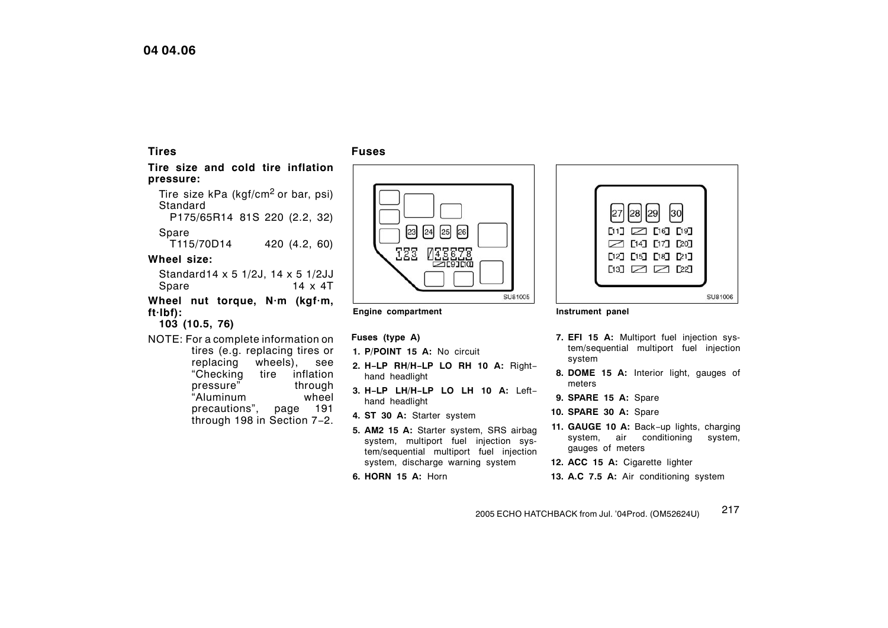## <span id="page-4-0"></span>**04 04.06**

## **Tires**

#### **Fuses**

**Tire size and cold tire inflation pressure:**

Tire size kPa (kgf/cm<sup>2</sup> or bar, psi) Standard

P175/65R14 81S 220 (2.2, 32)

Spare<br>T115/70D14 420 (4.2, 60)

## **Wheel size:**

Standard14 x 5 1/2J, 14 x 5 1/2JJ Spare 14 x 4T

**Wheel nut torque, N·m (kgf·m, ft·Ibf):**

## **103 (10.5, 76)**

NOTE: For a complete information on tires (e.g. replacing tires or replacing wheels), see<br>"Checking tire inflation tire inflation pressure" through<br>"Aluminum wheel "Aluminum precautions", page [191](#page-6-0) through [198](#page-13-0) in Section 7−2.



#### **Engine compartment**

**Fuses (type A)**

- **1. P/POINT 15 A:** No circuit
- **2. H−LP RH/H−LP LO RH 10 A:** Right− hand headlight
- **3. H−LP LH/H−LP LO LH 10 A:** Left− hand headlight
- **4. ST 30 A:** Starter system
- **5. AM2 15 A:** Starter system, SRS airbag system, multiport fuel injection system/sequential multiport fuel injection system, discharge warning system
- **6. HORN 15 A:** Horn



#### **Instrument panel**

- **7. EFI 15 A:** Multiport fuel injection system/sequential multiport fuel injection system
- **8. DOME 15 A:** Interior light, gauges of meters
- **9. SPARE 15 A:** Spare
- **10. SPARE 30 A:** Spare
- **11. GAUGE 10 A:** Back−up lights, charging system, air conditioning system, gauges of meters
- **12. ACC 15 A:** Cigarette lighter
- **13. A.C 7.5 A:** Air conditioning system